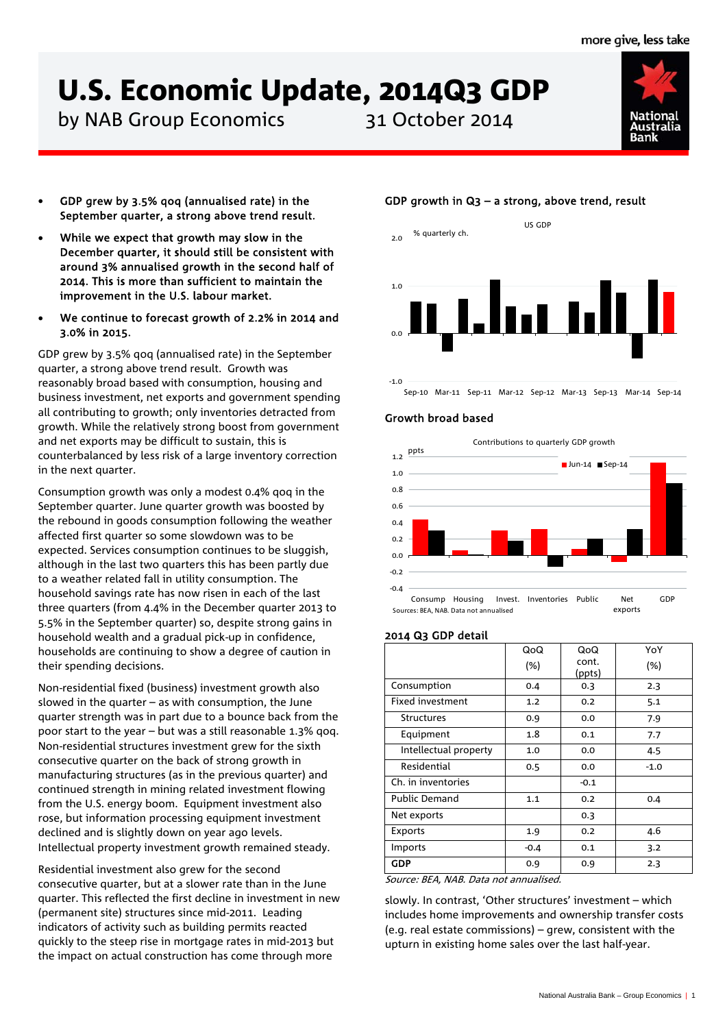# **U.S. Economic Update, 2014Q3 GDP**<br>by NAB Group Economics<br>31 October 2014

by NAB Group Economics



- GDP grew by 3.5% qoq (annualised rate) in the September quarter, a strong above trend result.
- While we expect that growth may slow in the December quarter, it should still be consistent with around 3% annualised growth in the second half of 2014. This is more than sufficient to maintain the improvement in the U.S. labour market.
- We continue to forecast growth of 2.2% in 2014 and 3.0% in 2015.

GDP grew by 3.5% qoq (annualised rate) in the September quarter, a strong above trend result. Growth was reasonably broad based with consumption, housing and business investment, net exports and government spending all contributing to growth; only inventories detracted from growth. While the relatively strong boost from government and net exports may be difficult to sustain, this is counterbalanced by less risk of a large inventory correction in the next quarter.

Consumption growth was only a modest 0.4% qoq in the September quarter. June quarter growth was boosted by the rebound in goods consumption following the weather affected first quarter so some slowdown was to be expected. Services consumption continues to be sluggish, although in the last two quarters this has been partly due to a weather related fall in utility consumption. The household savings rate has now risen in each of the last three quarters (from 4.4% in the December quarter 2013 to 5.5% in the September quarter) so, despite strong gains in household wealth and a gradual pick-up in confidence, households are continuing to show a degree of caution in their spending decisions.

Non-residential fixed (business) investment growth also slowed in the quarter  $-$  as with consumption, the June quarter strength was in part due to a bounce back from the poor start to the year – but was a still reasonable 1.3% qoq. Non-residential structures investment grew for the sixth consecutive quarter on the back of strong growth in manufacturing structures (as in the previous quarter) and continued strength in mining related investment flowing from the U.S. energy boom. Equipment investment also rose, but information processing equipment investment declined and is slightly down on year ago levels. Intellectual property investment growth remained steady.

Residential investment also grew for the second consecutive quarter, but at a slower rate than in the June quarter. This reflected the first decline in investment in new (permanent site) structures since mid-2011. Leading indicators of activity such as building permits reacted quickly to the steep rise in mortgage rates in mid-2013 but the impact on actual construction has come through more

# GDP growth in Q3 – a strong, above trend, result



Sep-10 Mar-11 Sep-11 Mar-12 Sep-12 Mar-13 Sep-13 Mar-14 Sep-14

## Growth broad based

Contributions to quarterly GDP growth



# 2014 Q3 GDP detail

|                         | QoQ    | QoQ             | YoY    |
|-------------------------|--------|-----------------|--------|
|                         | (%)    | cont.<br>(ppts) | (%)    |
| Consumption             | 0.4    | 0.3             | 2.3    |
| <b>Fixed investment</b> | 1.2    | 0.2             | 5.1    |
| <b>Structures</b>       | 0.9    | 0.0             | 7.9    |
| Equipment               | 1.8    | 0.1             | 7.7    |
| Intellectual property   | 1.0    | 0.0             | 4.5    |
| Residential             | 0.5    | 0.0             | $-1.0$ |
| Ch. in inventories      |        | $-0.1$          |        |
| <b>Public Demand</b>    | 1.1    | 0.2             | 0.4    |
| Net exports             |        | 0.3             |        |
| Exports                 | 1.9    | 0.2             | 4.6    |
| Imports                 | $-0.4$ | 0.1             | 3.2    |
| <b>GDP</b>              | 0.9    | 0.9             | 2.3    |

Source: BEA, NAB. Data not annualised.

slowly. In contrast, 'Other structures' investment – which includes home improvements and ownership transfer costs (e.g. real estate commissions) – grew, consistent with the upturn in existing home sales over the last half-year.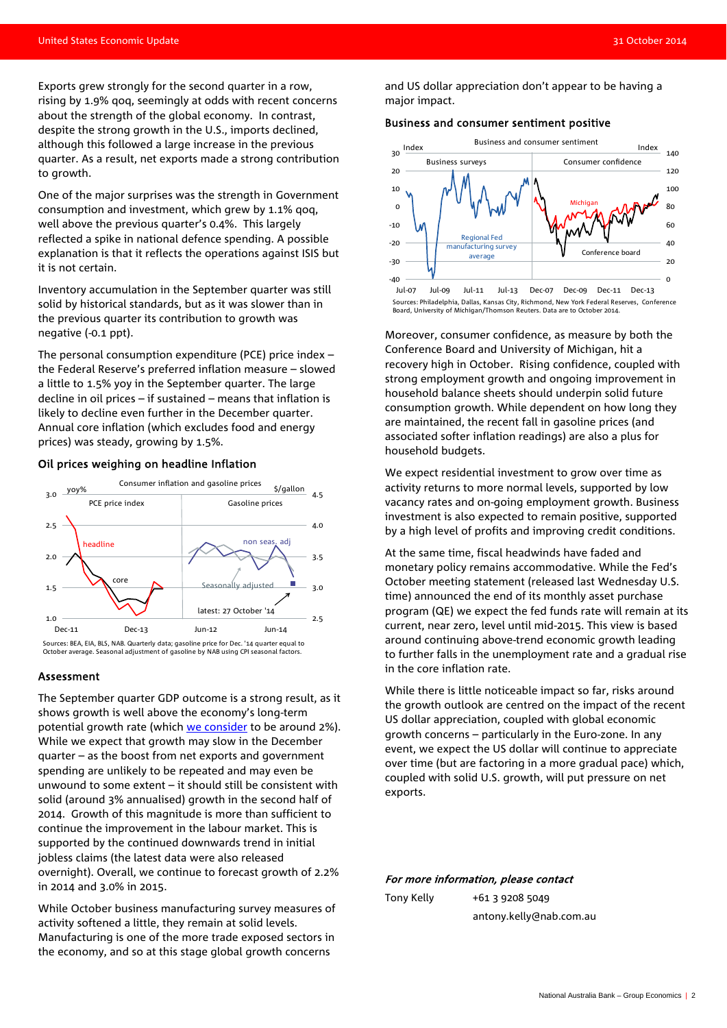Exports grew strongly for the second quarter in a row, rising by 1.9% qoq, seemingly at odds with recent concerns about the strength of the global economy. In contrast, despite the strong growth in the U.S., imports declined, although this followed a large increase in the previous quarter. As a result, net exports made a strong contribution to growth.

One of the major surprises was the strength in Government consumption and investment, which grew by 1.1% qoq, well above the previous quarter's 0.4%. This largely reflected a spike in national defence spending. A possible explanation is that it reflects the operations against ISIS but it is not certain.

Inventory accumulation in the September quarter was still solid by historical standards, but as it was slower than in the previous quarter its contribution to growth was negative (-0.1 ppt).

The personal consumption expenditure (PCE) price index – the Federal Reserve's preferred inflation measure – slowed a little to 1.5% yoy in the September quarter. The large decline in oil prices – if sustained – means that inflation is likely to decline even further in the December quarter. Annual core inflation (which excludes food and energy prices) was steady, growing by 1.5%.

#### Oil prices weighing on headline Inflation



Sources: BEA, EIA, BLS, NAB. Quarterly data; gasoline price for Dec. '14 quarter equal to October average. Seasonal adjustment of gasoline by NAB using CPI seasonal factors.

#### Assessment

The September quarter GDP outcome is a strong result, as it shows growth is well above the economy's long-term potential growth rate (which [we consider](http://business.nab.com.au/us-economic-update-august-2014-7537/) to be around 2%). While we expect that growth may slow in the December quarter – as the boost from net exports and government spending are unlikely to be repeated and may even be unwound to some extent – it should still be consistent with solid (around 3% annualised) growth in the second half of 2014. Growth of this magnitude is more than sufficient to continue the improvement in the labour market. This is supported by the continued downwards trend in initial jobless claims (the latest data were also released overnight). Overall, we continue to forecast growth of 2.2% in 2014 and 3.0% in 2015.

While October business manufacturing survey measures of activity softened a little, they remain at solid levels. Manufacturing is one of the more trade exposed sectors in the economy, and so at this stage global growth concerns

and US dollar appreciation don't appear to be having a major impact.

#### Business and consumer sentiment positive



Sources: Philadelphia, Dallas, Kansas City, Richmond, New York Federal Reserves, Conference Board, University of Michigan/Thomson Reuters. Data are to October 2014.

Moreover, consumer confidence, as measure by both the Conference Board and University of Michigan, hit a recovery high in October. Rising confidence, coupled with strong employment growth and ongoing improvement in household balance sheets should underpin solid future consumption growth. While dependent on how long they are maintained, the recent fall in gasoline prices (and associated softer inflation readings) are also a plus for household budgets.

We expect residential investment to grow over time as activity returns to more normal levels, supported by low vacancy rates and on-going employment growth. Business investment is also expected to remain positive, supported by a high level of profits and improving credit conditions.

At the same time, fiscal headwinds have faded and monetary policy remains accommodative. While the Fed's October meeting statement (released last Wednesday U.S. time) announced the end of its monthly asset purchase program (QE) we expect the fed funds rate will remain at its current, near zero, level until mid-2015. This view is based around continuing above-trend economic growth leading to further falls in the unemployment rate and a gradual rise in the core inflation rate.

While there is little noticeable impact so far, risks around the growth outlook are centred on the impact of the recent US dollar appreciation, coupled with global economic growth concerns – particularly in the Euro-zone. In any event, we expect the US dollar will continue to appreciate over time (but are factoring in a more gradual pace) which, coupled with solid U.S. growth, will put pressure on net exports.

#### For more information, please contact

| Tony Kelly | $+61$ 3 9208 5049       |
|------------|-------------------------|
|            | antony.kelly@nab.com.au |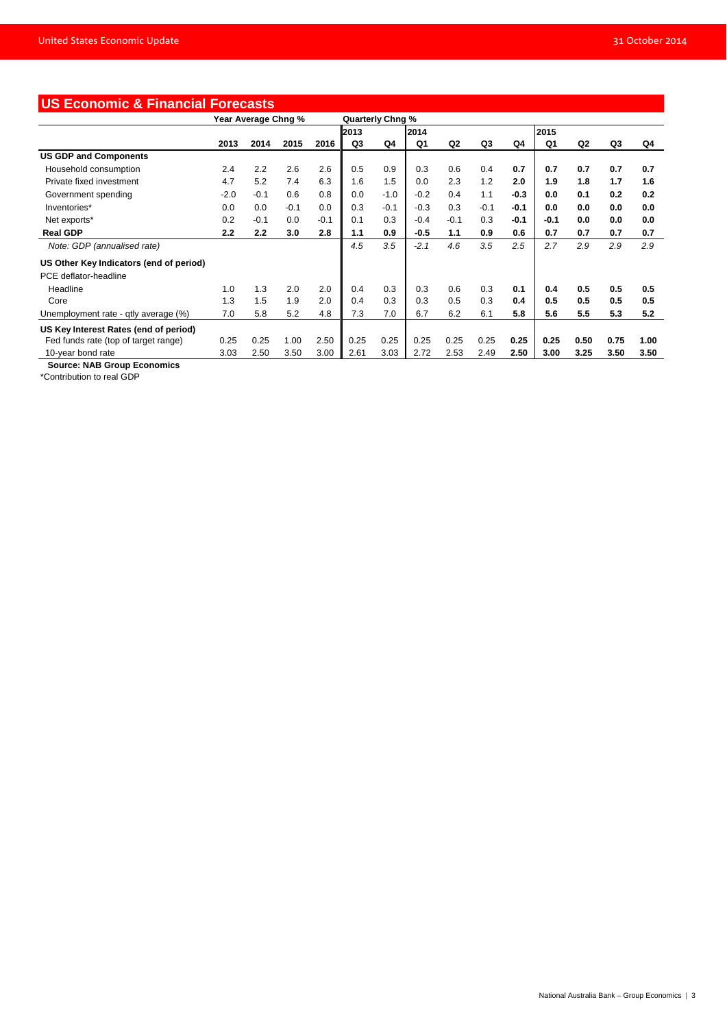| <b>US Economic &amp; Financial Forecasts</b> |                     |        |        |                  |      |        |        |        |        |        |        |      |      |      |
|----------------------------------------------|---------------------|--------|--------|------------------|------|--------|--------|--------|--------|--------|--------|------|------|------|
|                                              | Year Average Chng % |        |        | Quarterly Chng % |      |        |        |        |        |        |        |      |      |      |
|                                              |                     |        |        |                  | 2013 |        | 2014   |        |        |        | 2015   |      |      |      |
|                                              | 2013                | 2014   | 2015   | 2016             | Q3   | Q4     | Q1     | Q2     | Q3     | Q4     | Q1     | Q2   | Q3   | Q4   |
| <b>US GDP and Components</b>                 |                     |        |        |                  |      |        |        |        |        |        |        |      |      |      |
| Household consumption                        | 2.4                 | 2.2    | 2.6    | 2.6              | 0.5  | 0.9    | 0.3    | 0.6    | 0.4    | 0.7    | 0.7    | 0.7  | 0.7  | 0.7  |
| Private fixed investment                     | 4.7                 | 5.2    | 7.4    | 6.3              | 1.6  | 1.5    | 0.0    | 2.3    | 1.2    | 2.0    | 1.9    | 1.8  | 1.7  | 1.6  |
| Government spending                          | $-2.0$              | $-0.1$ | 0.6    | 0.8              | 0.0  | $-1.0$ | $-0.2$ | 0.4    | 1.1    | $-0.3$ | 0.0    | 0.1  | 0.2  | 0.2  |
| Inventories*                                 | 0.0                 | 0.0    | $-0.1$ | 0.0              | 0.3  | $-0.1$ | $-0.3$ | 0.3    | $-0.1$ | $-0.1$ | 0.0    | 0.0  | 0.0  | 0.0  |
| Net exports*                                 | 0.2                 | $-0.1$ | 0.0    | $-0.1$           | 0.1  | 0.3    | $-0.4$ | $-0.1$ | 0.3    | $-0.1$ | $-0.1$ | 0.0  | 0.0  | 0.0  |
| <b>Real GDP</b>                              | 2.2                 | 2.2    | 3.0    | 2.8              | 1.1  | 0.9    | $-0.5$ | 1.1    | 0.9    | 0.6    | 0.7    | 0.7  | 0.7  | 0.7  |
| Note: GDP (annualised rate)                  |                     |        |        |                  | 4.5  | 3.5    | $-2.1$ | 4.6    | 3.5    | 2.5    | 2.7    | 2.9  | 2.9  | 2.9  |
| US Other Key Indicators (end of period)      |                     |        |        |                  |      |        |        |        |        |        |        |      |      |      |
| PCE deflator-headline                        |                     |        |        |                  |      |        |        |        |        |        |        |      |      |      |
| Headline                                     | 1.0                 | 1.3    | 2.0    | 2.0              | 0.4  | 0.3    | 0.3    | 0.6    | 0.3    | 0.1    | 0.4    | 0.5  | 0.5  | 0.5  |
| Core                                         | 1.3                 | 1.5    | 1.9    | 2.0              | 0.4  | 0.3    | 0.3    | 0.5    | 0.3    | 0.4    | 0.5    | 0.5  | 0.5  | 0.5  |
| Unemployment rate - qtly average (%)         | 7.0                 | 5.8    | 5.2    | 4.8              | 7.3  | 7.0    | 6.7    | 6.2    | 6.1    | 5.8    | 5.6    | 5.5  | 5.3  | 5.2  |
| US Key Interest Rates (end of period)        |                     |        |        |                  |      |        |        |        |        |        |        |      |      |      |
| Fed funds rate (top of target range)         | 0.25                | 0.25   | 1.00   | 2.50             | 0.25 | 0.25   | 0.25   | 0.25   | 0.25   | 0.25   | 0.25   | 0.50 | 0.75 | 1.00 |
| 10-year bond rate                            | 3.03                | 2.50   | 3.50   | 3.00             | 2.61 | 3.03   | 2.72   | 2.53   | 2.49   | 2.50   | 3.00   | 3.25 | 3.50 | 3.50 |

 **Source: NAB Group Economics**

\*Contribution to real GDP